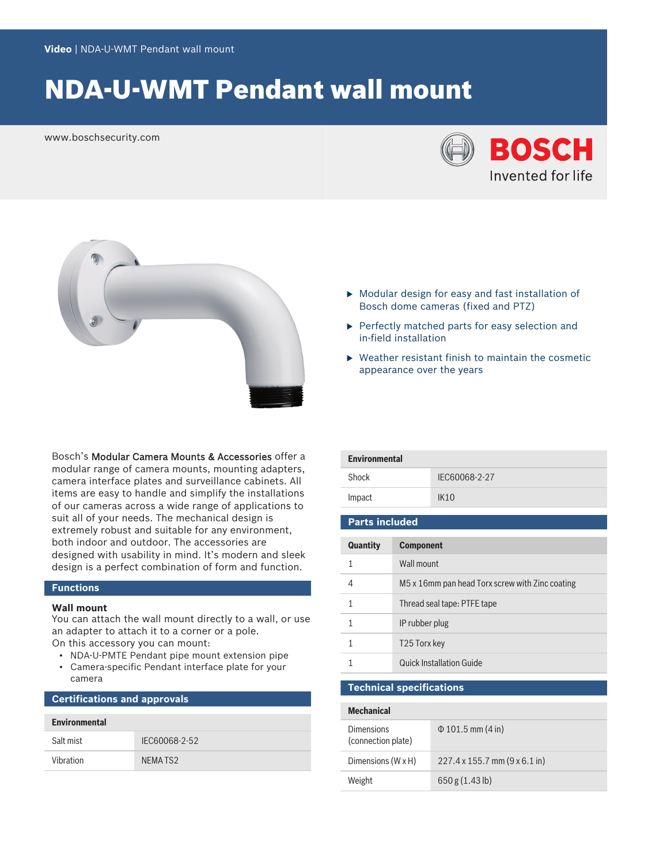# NDA-U-WMT Pendant wall mount

www.boschsecurity.com





Bosch's Modular Camera Mounts & Accessories offer a modular range of camera mounts, mounting adapters, camera interface plates and surveillance cabinets. All items are easy to handle and simplify the installations of our cameras across a wide range of applications to suit all of your needs. The mechanical design is extremely robust and suitable for any environment, both indoor and outdoor. The accessories are designed with usability in mind. It's modern and sleek design is a perfect combination of form and function.

### **Functions**

#### **Wall mount**

You can attach the wall mount directly to a wall, or use an adapter to attach it to a corner or a pole.

- On this accessory you can mount:
	- NDA-U-PMTE Pendant pipe mount extension pipe
- Camera-specific Pendant interface plate for your camera

### **Certifications and approvals**

| <b>Environmental</b> |               |  |
|----------------------|---------------|--|
| Salt mist            | IFC60068-2-52 |  |
| Vibration            | NEMA TS2      |  |

- $\triangleright$  Modular design for easy and fast installation of Bosch dome cameras (fixed and PTZ)
- $\blacktriangleright$  Perfectly matched parts for easy selection and in‑field installation
- $\blacktriangleright$  Weather resistant finish to maintain the cosmetic appearance over the years

| <b>Environmental</b>  |                  |               |  |  |
|-----------------------|------------------|---------------|--|--|
| Shock                 |                  | IEC60068-2-27 |  |  |
| Impact                |                  | IK10          |  |  |
|                       |                  |               |  |  |
| <b>Parts included</b> |                  |               |  |  |
|                       |                  |               |  |  |
| Quantity              | <b>Component</b> |               |  |  |
|                       | Wall mount       |               |  |  |
|                       |                  |               |  |  |

| M5 x 16mm pan head Torx screw with Zinc coating |
|-------------------------------------------------|
| Thread seal tape: PTFE tape                     |
| IP rubber plug                                  |
| T25 Torx key                                    |
| <b>Quick Installation Guide</b>                 |

### **Technical specifications**

# **Mechanical** Dimensions (connection plate) Φ 101.5 mm (4 in) Dimensions (W x H) 227.4 x 155.7 mm (9 x 6.1 in) Weight 650 g (1.43 lb)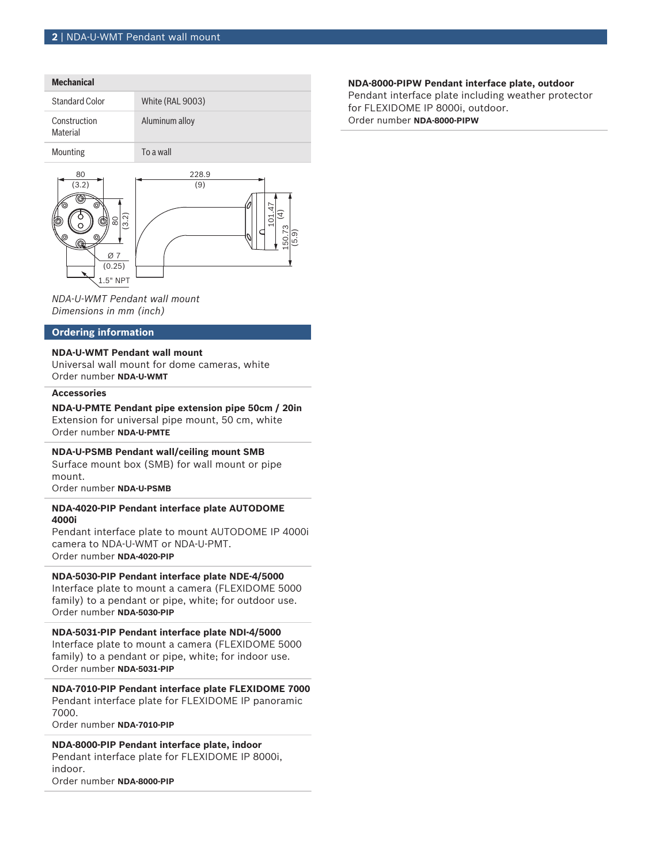# **Mechanical** Standard Color White (RAL 9003) Construction Material Aluminum alloy Mounting To a wall 80





*NDA-U-WMT Pendant wall mount Dimensions in mm (inch)*

#### **Ordering information**

#### **NDA-U-WMT Pendant wall mount**

Universal wall mount for dome cameras, white Order number **NDA-U-WMT**

#### **Accessories**

**NDA-U-PMTE Pendant pipe extension pipe 50cm / 20in** Extension for universal pipe mount, 50 cm, white Order number **NDA-U-PMTE**

#### **NDA-U-PSMB Pendant wall/ceiling mount SMB**

Surface mount box (SMB) for wall mount or pipe mount.

Order number **NDA-U-PSMB**

#### **NDA-4020-PIP Pendant interface plate AUTODOME 4000i**

Pendant interface plate to mount AUTODOME IP 4000i camera to NDA-U-WMT or NDA-U-PMT. Order number **NDA-4020-PIP**

## **NDA-5030-PIP Pendant interface plate NDE-4/5000**

Interface plate to mount a camera (FLEXIDOME 5000 family) to a pendant or pipe, white; for outdoor use. Order number **NDA-5030-PIP**

**NDA-5031-PIP Pendant interface plate NDI-4/5000** Interface plate to mount a camera (FLEXIDOME 5000 family) to a pendant or pipe, white; for indoor use. Order number **NDA-5031-PIP**

**NDA-7010-PIP Pendant interface plate FLEXIDOME 7000** Pendant interface plate for FLEXIDOME IP panoramic 7000.

Order number **NDA-7010-PIP**

**NDA-8000-PIP Pendant interface plate, indoor** Pendant interface plate for FLEXIDOME IP 8000i, indoor. Order number **NDA-8000-PIP**

#### **NDA-8000-PIPW Pendant interface plate, outdoor**

Pendant interface plate including weather protector for FLEXIDOME IP 8000i, outdoor.

Order number **NDA-8000-PIPW**